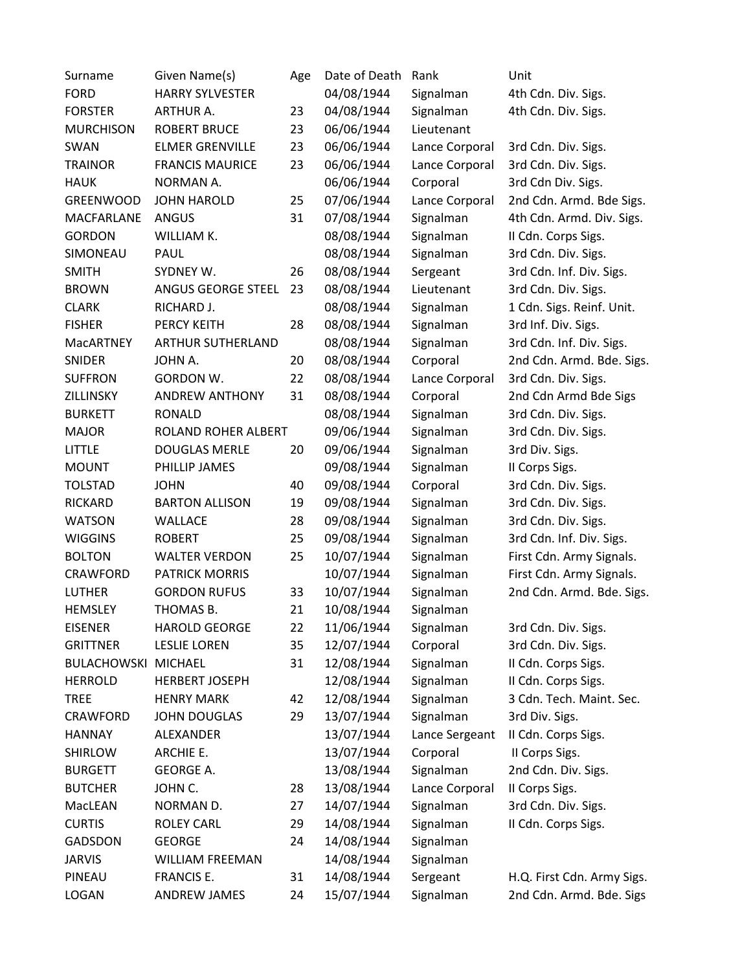| Surname           | Given Name(s)            | Age | Date of Death | Rank           | Unit                       |
|-------------------|--------------------------|-----|---------------|----------------|----------------------------|
| <b>FORD</b>       | <b>HARRY SYLVESTER</b>   |     | 04/08/1944    | Signalman      | 4th Cdn. Div. Sigs.        |
| <b>FORSTER</b>    | <b>ARTHUR A.</b>         | 23  | 04/08/1944    | Signalman      | 4th Cdn. Div. Sigs.        |
| <b>MURCHISON</b>  | <b>ROBERT BRUCE</b>      | 23  | 06/06/1944    | Lieutenant     |                            |
| SWAN              | <b>ELMER GRENVILLE</b>   | 23  | 06/06/1944    | Lance Corporal | 3rd Cdn. Div. Sigs.        |
| <b>TRAINOR</b>    | <b>FRANCIS MAURICE</b>   | 23  | 06/06/1944    | Lance Corporal | 3rd Cdn. Div. Sigs.        |
| <b>HAUK</b>       | NORMAN A.                |     | 06/06/1944    | Corporal       | 3rd Cdn Div. Sigs.         |
| <b>GREENWOOD</b>  | <b>JOHN HAROLD</b>       | 25  | 07/06/1944    | Lance Corporal | 2nd Cdn. Armd. Bde Sigs.   |
| <b>MACFARLANE</b> | ANGUS                    | 31  | 07/08/1944    | Signalman      | 4th Cdn. Armd. Div. Sigs.  |
| <b>GORDON</b>     | WILLIAM K.               |     | 08/08/1944    | Signalman      | II Cdn. Corps Sigs.        |
| SIMONEAU          | PAUL                     |     | 08/08/1944    | Signalman      | 3rd Cdn. Div. Sigs.        |
| <b>SMITH</b>      | SYDNEY W.                | 26  | 08/08/1944    | Sergeant       | 3rd Cdn. Inf. Div. Sigs.   |
| <b>BROWN</b>      | ANGUS GEORGE STEEL       | 23  | 08/08/1944    | Lieutenant     | 3rd Cdn. Div. Sigs.        |
| <b>CLARK</b>      | RICHARD J.               |     | 08/08/1944    | Signalman      | 1 Cdn. Sigs. Reinf. Unit.  |
| <b>FISHER</b>     | PERCY KEITH              | 28  | 08/08/1944    | Signalman      | 3rd Inf. Div. Sigs.        |
| <b>MacARTNEY</b>  | <b>ARTHUR SUTHERLAND</b> |     | 08/08/1944    | Signalman      | 3rd Cdn. Inf. Div. Sigs.   |
| SNIDER            | JOHN A.                  | 20  | 08/08/1944    | Corporal       | 2nd Cdn. Armd. Bde. Sigs.  |
| <b>SUFFRON</b>    | <b>GORDON W.</b>         | 22  | 08/08/1944    | Lance Corporal | 3rd Cdn. Div. Sigs.        |
| ZILLINSKY         | <b>ANDREW ANTHONY</b>    | 31  | 08/08/1944    | Corporal       | 2nd Cdn Armd Bde Sigs      |
| <b>BURKETT</b>    | <b>RONALD</b>            |     | 08/08/1944    | Signalman      | 3rd Cdn. Div. Sigs.        |
| <b>MAJOR</b>      | ROLAND ROHER ALBERT      |     | 09/06/1944    | Signalman      | 3rd Cdn. Div. Sigs.        |
| LITTLE            | <b>DOUGLAS MERLE</b>     | 20  | 09/06/1944    | Signalman      | 3rd Div. Sigs.             |
| <b>MOUNT</b>      | PHILLIP JAMES            |     | 09/08/1944    | Signalman      | II Corps Sigs.             |
| <b>TOLSTAD</b>    | <b>JOHN</b>              | 40  | 09/08/1944    | Corporal       | 3rd Cdn. Div. Sigs.        |
| RICKARD           | <b>BARTON ALLISON</b>    | 19  | 09/08/1944    | Signalman      | 3rd Cdn. Div. Sigs.        |
| <b>WATSON</b>     | <b>WALLACE</b>           | 28  | 09/08/1944    | Signalman      | 3rd Cdn. Div. Sigs.        |
| <b>WIGGINS</b>    | <b>ROBERT</b>            | 25  | 09/08/1944    | Signalman      | 3rd Cdn. Inf. Div. Sigs.   |
| <b>BOLTON</b>     | <b>WALTER VERDON</b>     | 25  | 10/07/1944    | Signalman      | First Cdn. Army Signals.   |
| CRAWFORD          | <b>PATRICK MORRIS</b>    |     | 10/07/1944    | Signalman      | First Cdn. Army Signals.   |
| <b>LUTHER</b>     | <b>GORDON RUFUS</b>      | 33  | 10/07/1944    | Signalman      | 2nd Cdn. Armd. Bde. Sigs.  |
| <b>HEMSLEY</b>    | THOMAS B.                | 21  | 10/08/1944    | Signalman      |                            |
| <b>EISENER</b>    | <b>HAROLD GEORGE</b>     | 22  | 11/06/1944    | Signalman      | 3rd Cdn. Div. Sigs.        |
| <b>GRITTNER</b>   | <b>LESLIE LOREN</b>      | 35  | 12/07/1944    | Corporal       | 3rd Cdn. Div. Sigs.        |
| BULACHOWSKI       | <b>MICHAEL</b>           | 31  | 12/08/1944    | Signalman      | II Cdn. Corps Sigs.        |
| <b>HERROLD</b>    | <b>HERBERT JOSEPH</b>    |     | 12/08/1944    | Signalman      | II Cdn. Corps Sigs.        |
| <b>TREE</b>       | <b>HENRY MARK</b>        | 42  | 12/08/1944    | Signalman      | 3 Cdn. Tech. Maint. Sec.   |
| CRAWFORD          | <b>JOHN DOUGLAS</b>      | 29  | 13/07/1944    | Signalman      | 3rd Div. Sigs.             |
| <b>HANNAY</b>     | ALEXANDER                |     | 13/07/1944    | Lance Sergeant | II Cdn. Corps Sigs.        |
| <b>SHIRLOW</b>    | ARCHIE E.                |     | 13/07/1944    | Corporal       | II Corps Sigs.             |
| <b>BURGETT</b>    | <b>GEORGE A.</b>         |     | 13/08/1944    | Signalman      | 2nd Cdn. Div. Sigs.        |
| <b>BUTCHER</b>    | JOHN C.                  | 28  | 13/08/1944    | Lance Corporal | II Corps Sigs.             |
| MacLEAN           | NORMAN D.                | 27  | 14/07/1944    | Signalman      | 3rd Cdn. Div. Sigs.        |
| <b>CURTIS</b>     | <b>ROLEY CARL</b>        | 29  | 14/08/1944    | Signalman      | II Cdn. Corps Sigs.        |
| <b>GADSDON</b>    | <b>GEORGE</b>            | 24  | 14/08/1944    | Signalman      |                            |
| <b>JARVIS</b>     | <b>WILLIAM FREEMAN</b>   |     | 14/08/1944    | Signalman      |                            |
| PINEAU            | FRANCIS E.               | 31  | 14/08/1944    | Sergeant       | H.Q. First Cdn. Army Sigs. |
| LOGAN             | ANDREW JAMES             | 24  | 15/07/1944    | Signalman      | 2nd Cdn. Armd. Bde. Sigs   |